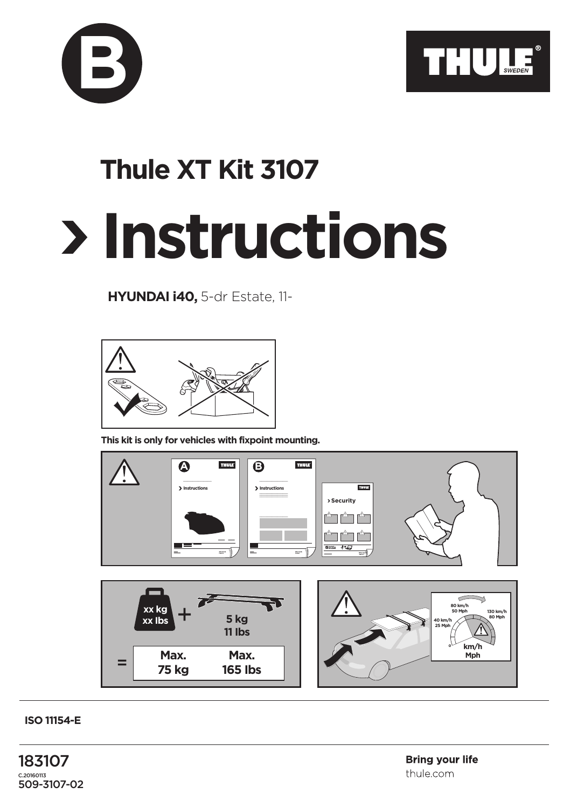



## **Thule XT Kit 3107**

## **Instructions**

**HYUNDAI i40,** 5-dr Estate, 11-



**This kit is only for vehicles with fixpoint mounting.**



**ISO 11154-E**

183107 C.20160113 509-3107-02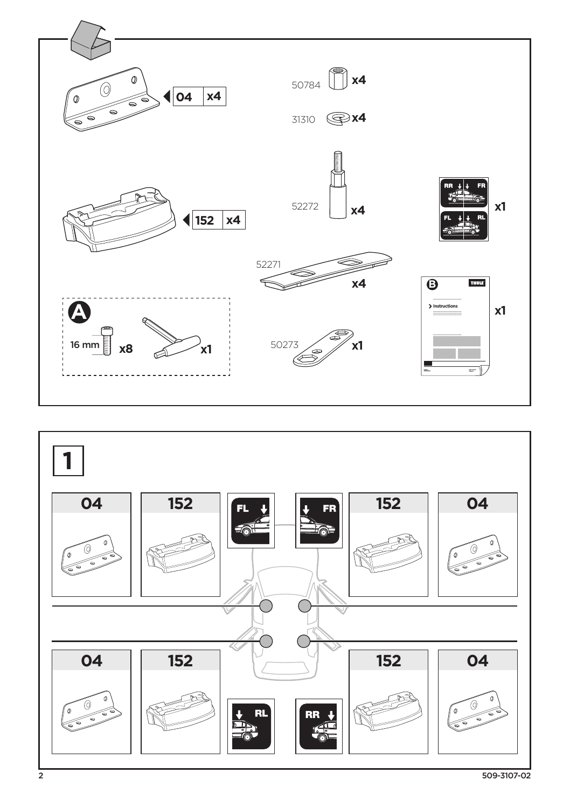

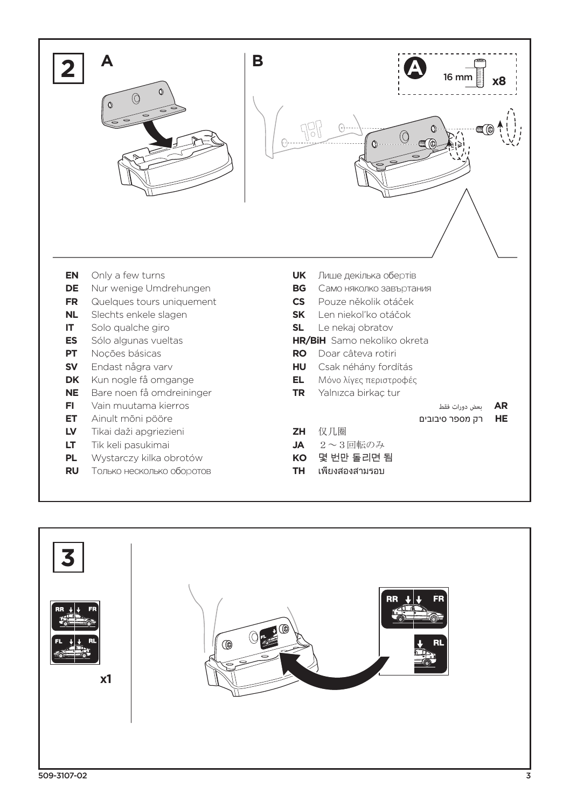